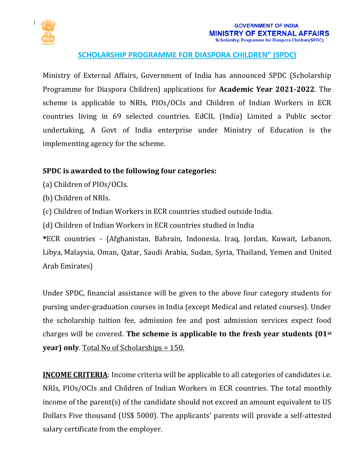

## **SCHOLARSHIP PROGRAMME FOR DIASPORA CHILDREN" (SPDC)**

Ministry of External Affairs, Government of India has announced SPDC (Scholarship Programme for Diaspora Children) applications for **Academic Year 2021-2022**. The scheme is applicable to NRIs, PIOs/OCIs and Children of Indian Workers in ECR countries living in 69 selected countries. EdCIL (India) Limited a Public sector undertaking, A Govt of India enterprise under Ministry of Education is the implementing agency for the scheme.

## **SPDC is awarded to the following four categories:**

- (a) Children of PIOs/OCIs.
- (b) Children of NRIs.
- (c) Children of Indian Workers in ECR countries studied outside India.
- (d) Children of Indian Workers in ECR countries studied in India

**\***ECR countries - {Afghanistan, Bahrain, Indonesia, Iraq, Jordan, Kuwait, Lebanon, Libya, Malaysia, Oman, Qatar, Saudi Arabia, Sudan, Syria, Thailand, Yemen and United Arab Emirates}

Under SPDC, financial assistance will be given to the above four category students for pursing under-graduation courses in India (except Medical and related courses). Under the scholarship tuition fee, admission fee and post admission services expect food charges will be covered. **The scheme is applicable to the fresh year students (01st year) only**. Total No of Scholarships = 150.

**INCOME CRITERIA**: Income criteria will be applicable to all categories of candidates i.e. NRIs, PIOs/OCIs and Children of Indian Workers in ECR countries. The total monthly income of the parent(s) of the candidate should not exceed an amount equivalent to US Dollars Five thousand (US\$ 5000). The applicants' parents will provide a self-attested salary certificate from the employer.